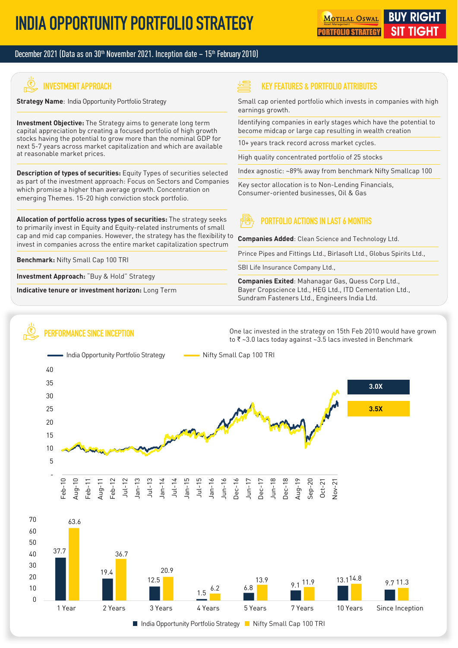#### December 2021 (Data as on 30<sup>th</sup> November 2021. Inception date – 15<sup>th</sup> February 2010)

# **INVESTMENT APPROACH**

**Strategy Name**: India Opportunity Portfolio Strategy

**Investment Objective:** The Strategy aims to generate long term capital appreciation by creating a focused portfolio of high growth stocks having the potential to grow more than the nominal GDP for next 5-7 years across market capitalization and which are available at reasonable market prices.

**Description of types of securities:** Equity Types of securities selected as part of the investment approach: Focus on Sectors and Companies which promise a higher than average growth. Concentration on emerging Themes. 15-20 high conviction stock portfolio.

**Allocation of portfolio across types of securities:** The strategy seeks to primarily invest in Equity and Equity-related instruments of small cap and mid cap companies. However, the strategy has the flexibility to invest in companies across the entire market capitalization spectrum

**Benchmark:** Nifty Small Cap 100 TRI

**Investment Approach:** "Buy & Hold" Strategy

**Indicative tenure or investment horizon:** Long Term

#### **KEY FEATURES & PORTFOLIO ATTRIBUTES**

Small cap oriented portfolio which invests in companies with high earnings growth.

Identifying companies in early stages which have the potential to become midcap or large cap resulting in wealth creation

10+ years track record across market cycles.

High quality concentrated portfolio of 25 stocks

Index agnostic: ~89% away from benchmark Nifty Smallcap 100

Key sector allocation is to Non-Lending Financials, Consumer-oriented businesses, Oil & Gas

#### **PORTFOLIO ACTIONS IN LAST 6 MONTHS**

**Companies Added**: Clean Science and Technology Ltd.

Prince Pipes and Fittings Ltd., Birlasoft Ltd., Globus Spirits Ltd.,

SBI Life Insurance Company Ltd.,

**Companies Exited**: Mahanagar Gas, Quess Corp Ltd., Bayer Cropscience Ltd., HEG Ltd., ITD Cementation Ltd., Sundram Fasteners Ltd., Engineers India Ltd.